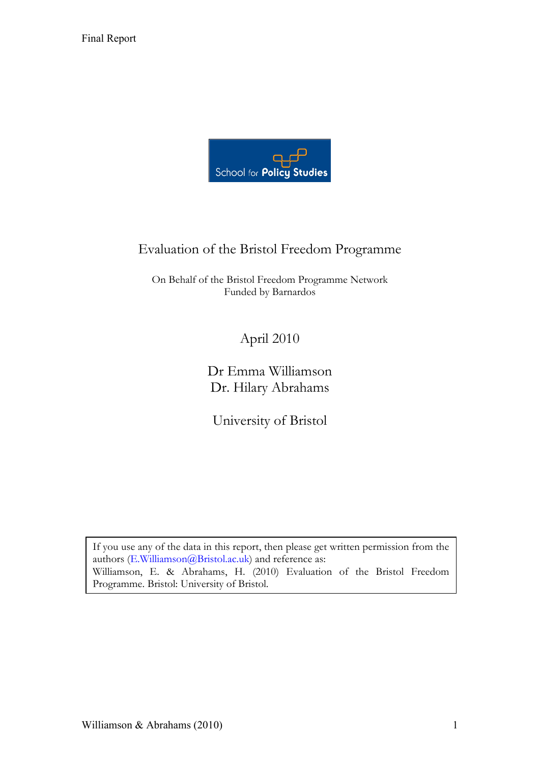

# Evaluation of the Bristol Freedom Programme

On Behalf of the Bristol Freedom Programme Network Funded by Barnardos

April 2010

Dr Emma Williamson Dr. Hilary Abrahams

University of Bristol

If you use any of the data in this report, then please get written permission from the authors (E.Williamson@Bristol.ac.uk) and reference as: Williamson, E. & Abrahams, H. (2010) Evaluation of the Bristol Freedom Programme. Bristol: University of Bristol.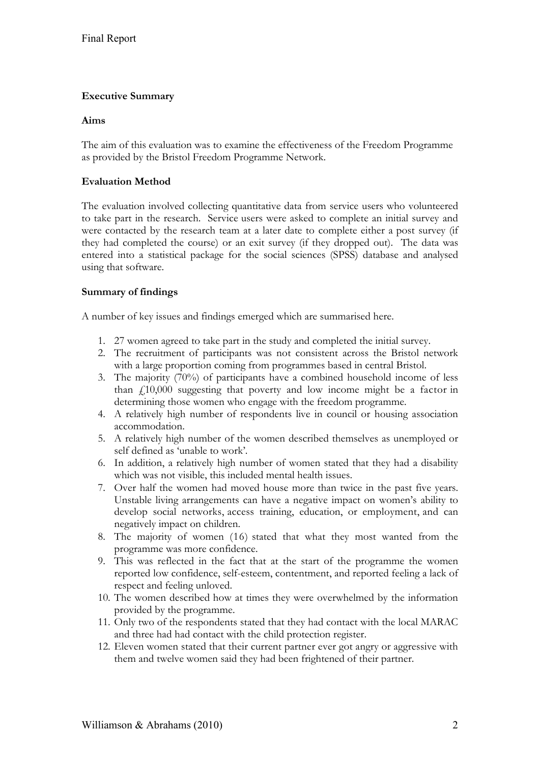### **Executive Summary**

#### **Aims**

The aim of this evaluation was to examine the effectiveness of the Freedom Programme as provided by the Bristol Freedom Programme Network.

#### **Evaluation Method**

The evaluation involved collecting quantitative data from service users who volunteered to take part in the research. Service users were asked to complete an initial survey and were contacted by the research team at a later date to complete either a post survey (if they had completed the course) or an exit survey (if they dropped out). The data was entered into a statistical package for the social sciences (SPSS) database and analysed using that software.

#### **Summary of findings**

A number of key issues and findings emerged which are summarised here.

- 1. 27 women agreed to take part in the study and completed the initial survey.
- 2. The recruitment of participants was not consistent across the Bristol network with a large proportion coming from programmes based in central Bristol.
- 3. The majority (70%) of participants have a combined household income of less than  $\ddot{f}$  10,000 suggesting that poverty and low income might be a factor in determining those women who engage with the freedom programme.
- 4. A relatively high number of respondents live in council or housing association accommodation.
- 5. A relatively high number of the women described themselves as unemployed or self defined as 'unable to work'.
- 6. In addition, a relatively high number of women stated that they had a disability which was not visible, this included mental health issues.
- 7. Over half the women had moved house more than twice in the past five years. Unstable living arrangements can have a negative impact on women's ability to develop social networks, access training, education, or employment, and can negatively impact on children.
- 8. The majority of women (16) stated that what they most wanted from the programme was more confidence.
- 9. This was reflected in the fact that at the start of the programme the women reported low confidence, self-esteem, contentment, and reported feeling a lack of respect and feeling unloved.
- 10. The women described how at times they were overwhelmed by the information provided by the programme.
- 11. Only two of the respondents stated that they had contact with the local MARAC and three had had contact with the child protection register.
- 12. Eleven women stated that their current partner ever got angry or aggressive with them and twelve women said they had been frightened of their partner.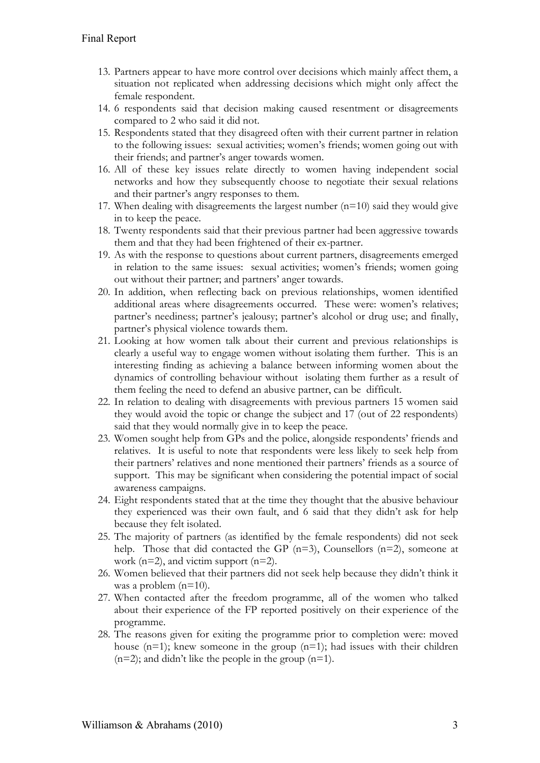- 13. Partners appear to have more control over decisions which mainly affect them, a situation not replicated when addressing decisions which might only affect the female respondent.
- 14. 6 respondents said that decision making caused resentment or disagreements compared to 2 who said it did not.
- 15. Respondents stated that they disagreed often with their current partner in relation to the following issues: sexual activities; women's friends; women going out with their friends; and partner's anger towards women.
- 16. All of these key issues relate directly to women having independent social networks and how they subsequently choose to negotiate their sexual relations and their partner's angry responses to them.
- 17. When dealing with disagreements the largest number  $(n=10)$  said they would give in to keep the peace.
- 18. Twenty respondents said that their previous partner had been aggressive towards them and that they had been frightened of their ex-partner.
- 19. As with the response to questions about current partners, disagreements emerged in relation to the same issues: sexual activities; women's friends; women going out without their partner; and partners' anger towards.
- 20. In addition, when reflecting back on previous relationships, women identified additional areas where disagreements occurred. These were: women's relatives; partner's neediness; partner's jealousy; partner's alcohol or drug use; and finally, partner's physical violence towards them.
- 21. Looking at how women talk about their current and previous relationships is clearly a useful way to engage women without isolating them further. This is an interesting finding as achieving a balance between informing women about the dynamics of controlling behaviour without isolating them further as a result of them feeling the need to defend an abusive partner, can be difficult.
- 22. In relation to dealing with disagreements with previous partners 15 women said they would avoid the topic or change the subject and 17 (out of 22 respondents) said that they would normally give in to keep the peace.
- 23. Women sought help from GPs and the police, alongside respondents' friends and relatives. It is useful to note that respondents were less likely to seek help from their partners' relatives and none mentioned their partners' friends as a source of support. This may be significant when considering the potential impact of social awareness campaigns.
- 24. Eight respondents stated that at the time they thought that the abusive behaviour they experienced was their own fault, and 6 said that they didn't ask for help because they felt isolated.
- 25. The majority of partners (as identified by the female respondents) did not seek help. Those that did contacted the GP (n=3), Counsellors (n=2), someone at work  $(n=2)$ , and victim support  $(n=2)$ .
- 26. Women believed that their partners did not seek help because they didn't think it was a problem (n=10).
- 27. When contacted after the freedom programme, all of the women who talked about their experience of the FP reported positively on their experience of the programme.
- 28. The reasons given for exiting the programme prior to completion were: moved house  $(n=1)$ ; knew someone in the group  $(n=1)$ ; had issues with their children  $(n=2)$ ; and didn't like the people in the group  $(n=1)$ .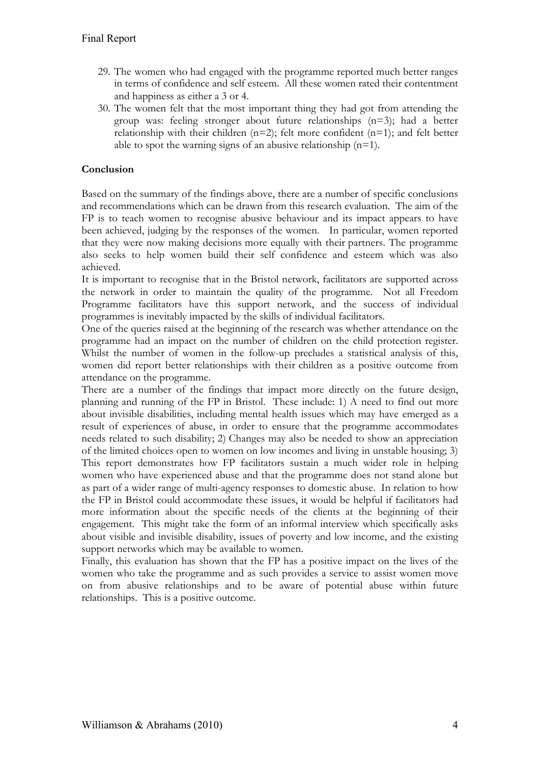- 29. The women who had engaged with the programme reported much better ranges in terms of confidence and self esteem. All these women rated their contentment and happiness as either a 3 or 4.
- 30. The women felt that the most important thing they had got from attending the group was: feeling stronger about future relationships (n=3); had a better relationship with their children  $(n=2)$ ; felt more confident  $(n=1)$ ; and felt better able to spot the warning signs of an abusive relationship  $(n=1)$ .

# **Conclusion**

Based on the summary of the findings above, there are a number of specific conclusions and recommendations which can be drawn from this research evaluation. The aim of the FP is to teach women to recognise abusive behaviour and its impact appears to have been achieved, judging by the responses of the women. In particular, women reported that they were now making decisions more equally with their partners. The programme also seeks to help women build their self confidence and esteem which was also achieved.

It is important to recognise that in the Bristol network, facilitators are supported across the network in order to maintain the quality of the programme. Not all Freedom Programme facilitators have this support network, and the success of individual programmes is inevitably impacted by the skills of individual facilitators.

One of the queries raised at the beginning of the research was whether attendance on the programme had an impact on the number of children on the child protection register. Whilst the number of women in the follow-up precludes a statistical analysis of this, women did report better relationships with their children as a positive outcome from attendance on the programme.

There are a number of the findings that impact more directly on the future design, planning and running of the FP in Bristol. These include: 1) A need to find out more about invisible disabilities, including mental health issues which may have emerged as a result of experiences of abuse, in order to ensure that the programme accommodates needs related to such disability; 2) Changes may also be needed to show an appreciation of the limited choices open to women on low incomes and living in unstable housing; 3) This report demonstrates how FP facilitators sustain a much wider role in helping women who have experienced abuse and that the programme does not stand alone but as part of a wider range of multi-agency responses to domestic abuse. In relation to how the FP in Bristol could accommodate these issues, it would be helpful if facilitators had more information about the specific needs of the clients at the beginning of their engagement. This might take the form of an informal interview which specifically asks about visible and invisible disability, issues of poverty and low income, and the existing support networks which may be available to women.

Finally, this evaluation has shown that the FP has a positive impact on the lives of the women who take the programme and as such provides a service to assist women move on from abusive relationships and to be aware of potential abuse within future relationships. This is a positive outcome.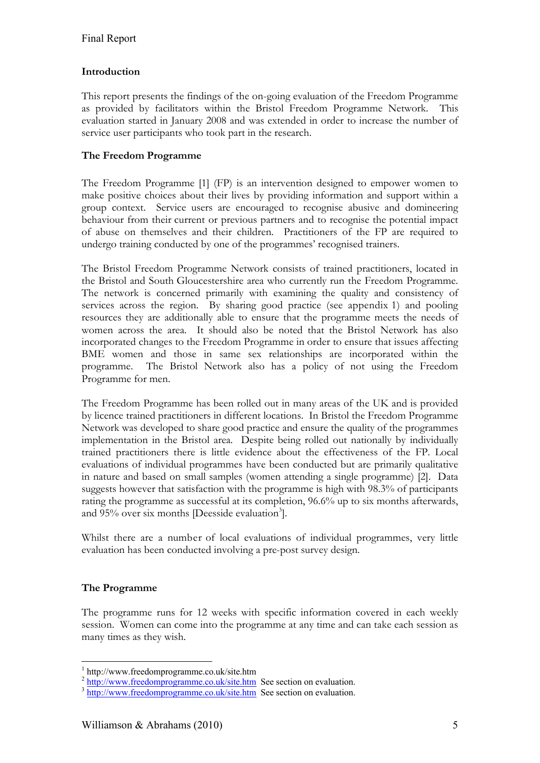# **Introduction**

This report presents the findings of the on-going evaluation of the Freedom Programme as provided by facilitators within the Bristol Freedom Programme Network. This evaluation started in January 2008 and was extended in order to increase the number of service user participants who took part in the research.

### **The Freedom Programme**

The Freedom Programme [1] (FP) is an intervention designed to empower women to make positive choices about their lives by providing information and support within a group context. Service users are encouraged to recognise abusive and domineering behaviour from their current or previous partners and to recognise the potential impact of abuse on themselves and their children. Practitioners of the FP are required to undergo training conducted by one of the programmes' recognised trainers.

The Bristol Freedom Programme Network consists of trained practitioners, located in the Bristol and South Gloucestershire area who currently run the Freedom Programme. The network is concerned primarily with examining the quality and consistency of services across the region. By sharing good practice (see appendix 1) and pooling resources they are additionally able to ensure that the programme meets the needs of women across the area. It should also be noted that the Bristol Network has also incorporated changes to the Freedom Programme in order to ensure that issues affecting BME women and those in same sex relationships are incorporated within the programme. The Bristol Network also has a policy of not using the Freedom Programme for men.

The Freedom Programme has been rolled out in many areas of the UK and is provided by licence trained practitioners in different locations. In Bristol the Freedom Programme Network was developed to share good practice and ensure the quality of the programmes implementation in the Bristol area. Despite being rolled out nationally by individually trained practitioners there is little evidence about the effectiveness of the FP. Local evaluations of individual programmes have been conducted but are primarily qualitative in nature and based on small samples (women attending a single programme) [2]. Data suggests however that satisfaction with the programme is high with 98.3% of participants rating the programme as successful at its completion, 96.6% up to six months afterwards, and 95% over six months [Deesside evaluation<sup>3</sup>].

Whilst there are a number of local evaluations of individual programmes, very little evaluation has been conducted involving a pre-post survey design.

# **The Programme**

<u>.</u>

The programme runs for 12 weeks with specific information covered in each weekly session. Women can come into the programme at any time and can take each session as many times as they wish.

<sup>1</sup> http://www.freedomprogramme.co.uk/site.htm

<sup>&</sup>lt;sup>2</sup> http://www.freedomprogramme.co.uk/site.htm See section on evaluation.

<sup>&</sup>lt;sup>3</sup> http://www.freedomprogramme.co.uk/site.htm See section on evaluation.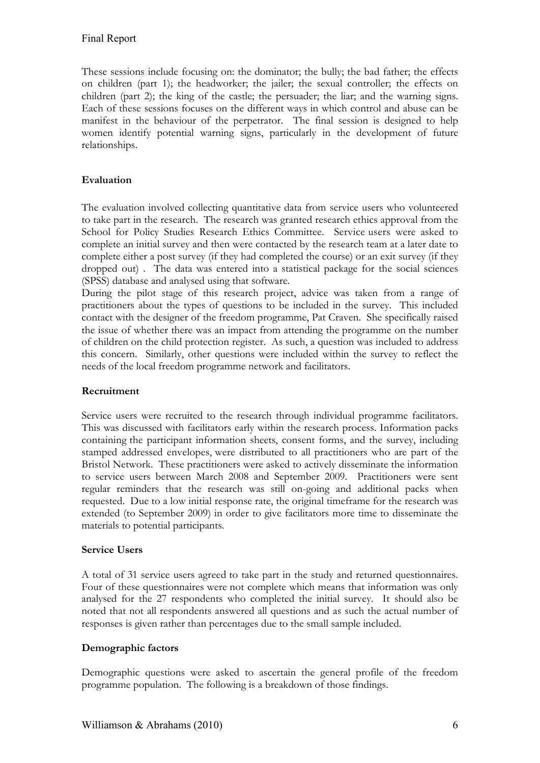These sessions include focusing on: the dominator; the bully; the bad father; the effects on children (part 1); the headworker; the jailer; the sexual controller; the effects on children (part 2); the king of the castle; the persuader; the liar; and the warning signs. Each of these sessions focuses on the different ways in which control and abuse can be manifest in the behaviour of the perpetrator. The final session is designed to help women identify potential warning signs, particularly in the development of future relationships.

# **Evaluation**

The evaluation involved collecting quantitative data from service users who volunteered to take part in the research. The research was granted research ethics approval from the School for Policy Studies Research Ethics Committee. Service users were asked to complete an initial survey and then were contacted by the research team at a later date to complete either a post survey (if they had completed the course) or an exit survey (if they dropped out) . The data was entered into a statistical package for the social sciences (SPSS) database and analysed using that software.

During the pilot stage of this research project, advice was taken from a range of practitioners about the types of questions to be included in the survey. This included contact with the designer of the freedom programme, Pat Craven. She specifically raised the issue of whether there was an impact from attending the programme on the number of children on the child protection register. As such, a question was included to address this concern. Similarly, other questions were included within the survey to reflect the needs of the local freedom programme network and facilitators.

# **Recruitment**

Service users were recruited to the research through individual programme facilitators. This was discussed with facilitators early within the research process. Information packs containing the participant information sheets, consent forms, and the survey, including stamped addressed envelopes, were distributed to all practitioners who are part of the Bristol Network. These practitioners were asked to actively disseminate the information to service users between March 2008 and September 2009. Practitioners were sent regular reminders that the research was still on-going and additional packs when requested. Due to a low initial response rate, the original timeframe for the research was extended (to September 2009) in order to give facilitators more time to disseminate the materials to potential participants.

# **Service Users**

A total of 31 service users agreed to take part in the study and returned questionnaires. Four of these questionnaires were not complete which means that information was only analysed for the 27 respondents who completed the initial survey. It should also be noted that not all respondents answered all questions and as such the actual number of responses is given rather than percentages due to the small sample included.

# **Demographic factors**

Demographic questions were asked to ascertain the general profile of the freedom programme population. The following is a breakdown of those findings.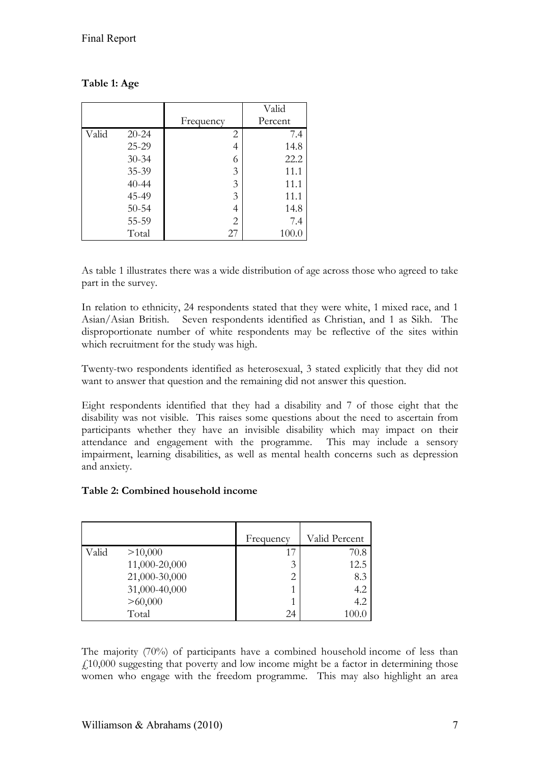|       |           |                | Valid   |
|-------|-----------|----------------|---------|
|       |           | Frequency      | Percent |
| Valid | $20 - 24$ | 2              | 7.4     |
|       | 25-29     | 4              | 14.8    |
|       | $30 - 34$ | 6              | 22.2    |
|       | 35-39     | 3              | 11.1    |
|       | $40 - 44$ | 3              | 11.1    |
|       | 45-49     | 3              | 11.1    |
|       | $50 - 54$ | 4              | 14.8    |
|       | 55-59     | $\overline{2}$ | 7.4     |
|       | Total     | 27             | 100.0   |

# **Table 1: Age**

As table 1 illustrates there was a wide distribution of age across those who agreed to take part in the survey.

In relation to ethnicity, 24 respondents stated that they were white, 1 mixed race, and 1 Asian/Asian British. Seven respondents identified as Christian, and 1 as Sikh. The disproportionate number of white respondents may be reflective of the sites within which recruitment for the study was high.

Twenty-two respondents identified as heterosexual, 3 stated explicitly that they did not want to answer that question and the remaining did not answer this question.

Eight respondents identified that they had a disability and 7 of those eight that the disability was not visible. This raises some questions about the need to ascertain from participants whether they have an invisible disability which may impact on their attendance and engagement with the programme. This may include a sensory impairment, learning disabilities, as well as mental health concerns such as depression and anxiety.

#### **Table 2: Combined household income**

|       |               | Frequency | Valid Percent |
|-------|---------------|-----------|---------------|
| Valid | >10,000       | 17        | 70.8          |
|       | 11,000-20,000 | 3         | 12.5          |
|       | 21,000-30,000 | 2         | 8.3           |
|       | 31,000-40,000 |           | 4.2           |
|       | >60,000       |           | 4.2           |
|       | Total         | 24        | 100.0         |

The majority (70%) of participants have a combined household income of less than  $f10,000$  suggesting that poverty and low income might be a factor in determining those women who engage with the freedom programme. This may also highlight an area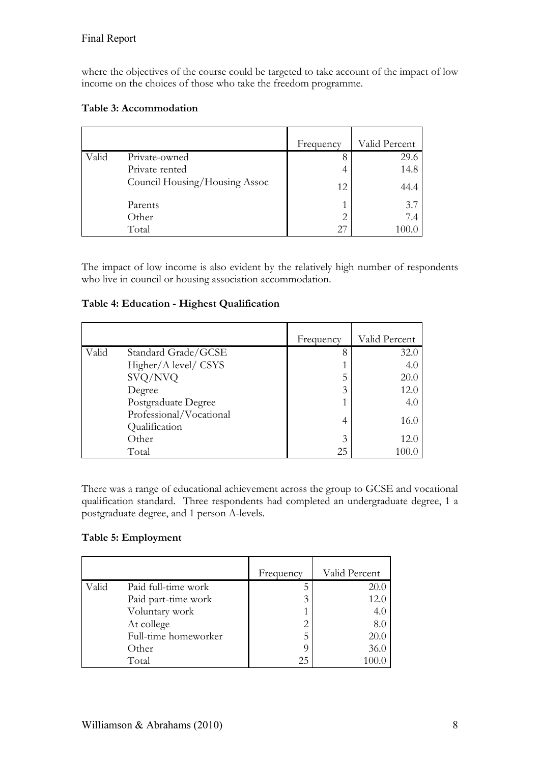where the objectives of the course could be targeted to take account of the impact of low income on the choices of those who take the freedom programme.

### **Table 3: Accommodation**

|       |                               | Frequency | Valid Percent |
|-------|-------------------------------|-----------|---------------|
| Valid | Private-owned                 | 8         | 29.6          |
|       | Private rented                | 4         | 14.8          |
|       | Council Housing/Housing Assoc | 12        | 44.4          |
|       | Parents                       |           | 3.7           |
|       | Other                         |           | 7.4           |
|       | Total                         |           |               |

The impact of low income is also evident by the relatively high number of respondents who live in council or housing association accommodation.

### **Table 4: Education - Highest Qualification**

|       |                                          | Frequency | Valid Percent |
|-------|------------------------------------------|-----------|---------------|
| Valid | Standard Grade/GCSE                      | 8         | 32.0          |
|       | Higher/A level/ CSYS                     |           | 4.0           |
|       | SVQ/NVQ                                  | 5         | 20.0          |
|       | Degree                                   | 3         | 12.0          |
|       | Postgraduate Degree                      |           | 4.0           |
|       | Professional/Vocational<br>Qualification | 4         | 16.0          |
|       | Other                                    | 3         | 12.0          |
|       | Total                                    | 25        | 100.0         |

There was a range of educational achievement across the group to GCSE and vocational qualification standard. Three respondents had completed an undergraduate degree, 1 a postgraduate degree, and 1 person A-levels.

# **Table 5: Employment**

|       |                      | Frequency | Valid Percent |
|-------|----------------------|-----------|---------------|
| Valid | Paid full-time work  |           | 20.0          |
|       | Paid part-time work  | 3         | 12.0          |
|       | Voluntary work       |           | 4.0           |
|       | At college           | 2         | 8.0           |
|       | Full-time homeworker | 5         | 20.0          |
|       | Other                |           | 36.0          |
|       | Total                | 25        | 100.0         |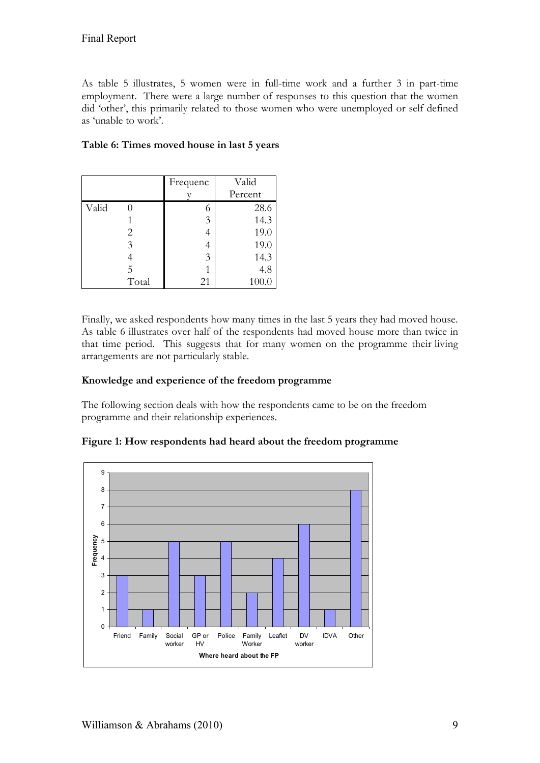As table 5 illustrates, 5 women were in full-time work and a further 3 in part-time employment. There were a large number of responses to this question that the women did 'other', this primarily related to those women who were unemployed or self defined as 'unable to work'.

|       |       | Frequenc | Valid   |
|-------|-------|----------|---------|
|       |       |          | Percent |
| Valid |       | 6        | 28.6    |
|       |       | 3        | 14.3    |
|       | 2     | 4        | 19.0    |
|       | 3     | 4        | 19.0    |
|       |       | 3        | 14.3    |
|       | 5     |          | 4.8     |
|       | Total | 21       | 100.0   |

### **Table 6: Times moved house in last 5 years**

Finally, we asked respondents how many times in the last 5 years they had moved house. As table 6 illustrates over half of the respondents had moved house more than twice in that time period. This suggests that for many women on the programme their living arrangements are not particularly stable.

#### **Knowledge and experience of the freedom programme**

The following section deals with how the respondents came to be on the freedom programme and their relationship experiences.



# **Figure 1: How respondents had heard about the freedom programme**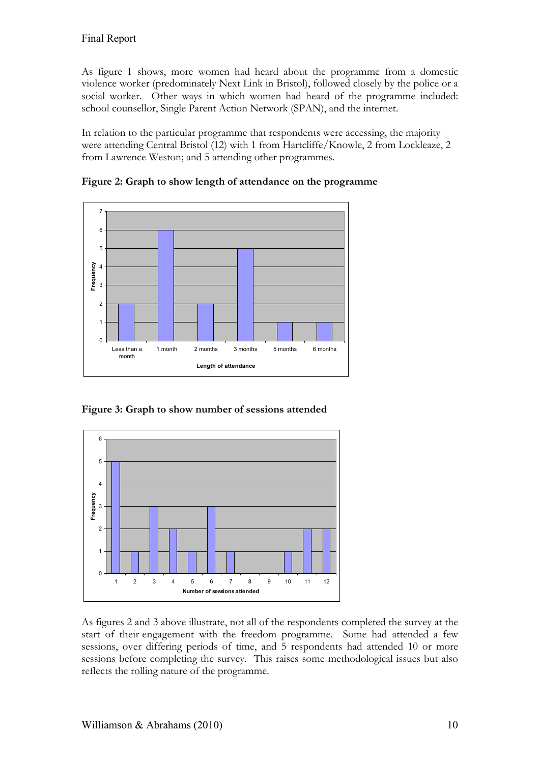As figure 1 shows, more women had heard about the programme from a domestic violence worker (predominately Next Link in Bristol), followed closely by the police or a social worker. Other ways in which women had heard of the programme included: school counsellor, Single Parent Action Network (SPAN), and the internet.

In relation to the particular programme that respondents were accessing, the majority were attending Central Bristol (12) with 1 from Hartcliffe/Knowle, 2 from Lockleaze, 2 from Lawrence Weston; and 5 attending other programmes.



**Figure 2: Graph to show length of attendance on the programme**

**Figure 3: Graph to show number of sessions attended**



As figures 2 and 3 above illustrate, not all of the respondents completed the survey at the start of their engagement with the freedom programme. Some had attended a few sessions, over differing periods of time, and 5 respondents had attended 10 or more sessions before completing the survey. This raises some methodological issues but also reflects the rolling nature of the programme.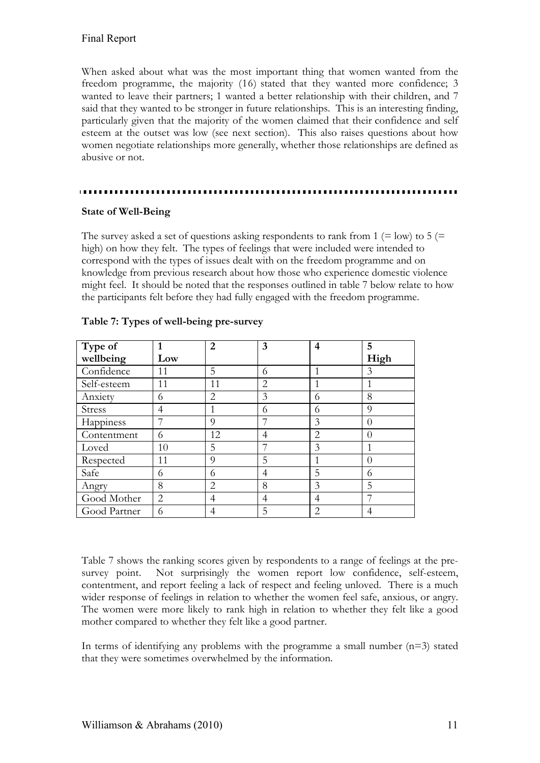When asked about what was the most important thing that women wanted from the freedom programme, the majority (16) stated that they wanted more confidence; 3 wanted to leave their partners; 1 wanted a better relationship with their children, and 7 said that they wanted to be stronger in future relationships. This is an interesting finding, particularly given that the majority of the women claimed that their confidence and self esteem at the outset was low (see next section). This also raises questions about how women negotiate relationships more generally, whether those relationships are defined as abusive or not.

#### **State of Well-Being**

The survey asked a set of questions asking respondents to rank from 1 (= low) to 5 (= high) on how they felt. The types of feelings that were included were intended to correspond with the types of issues dealt with on the freedom programme and on knowledge from previous research about how those who experience domestic violence might feel. It should be noted that the responses outlined in table 7 below relate to how the participants felt before they had fully engaged with the freedom programme.

| Type of      | 1   | 2              | 3              | 4 | 5        |
|--------------|-----|----------------|----------------|---|----------|
| wellbeing    | Low |                |                |   | High     |
| Confidence   | 11  | 5              | 6              |   | 3        |
| Self-esteem  | 11  | 11             | 2              |   |          |
| Anxiety      | 6   | 2              | 3              | 6 | 8        |
| Stress       | 4   |                | 6              | 6 | $\Omega$ |
| Happiness    | 7   | $\overline{Q}$ | 7              | 3 | $\Omega$ |
| Contentment  | 6   | 12             | $\overline{4}$ | 2 | $\Omega$ |
| Loved        | 10  | 5              | 7              | 3 |          |
| Respected    | 11  | 9              | 5              |   | $\Omega$ |
| Safe         | 6   | 6              | 4              | 5 | 6        |
| Angry        | 8   | 2              | 8              | 3 | 5        |
| Good Mother  | 2   | 4              | 4              | 4 |          |
| Good Partner | 6   | 4              | 5              | 2 | 4        |

#### **Table 7: Types of well-being pre-survey**

Table 7 shows the ranking scores given by respondents to a range of feelings at the presurvey point. Not surprisingly the women report low confidence, self-esteem, contentment, and report feeling a lack of respect and feeling unloved. There is a much wider response of feelings in relation to whether the women feel safe, anxious, or angry. The women were more likely to rank high in relation to whether they felt like a good mother compared to whether they felt like a good partner.

In terms of identifying any problems with the programme a small number (n=3) stated that they were sometimes overwhelmed by the information.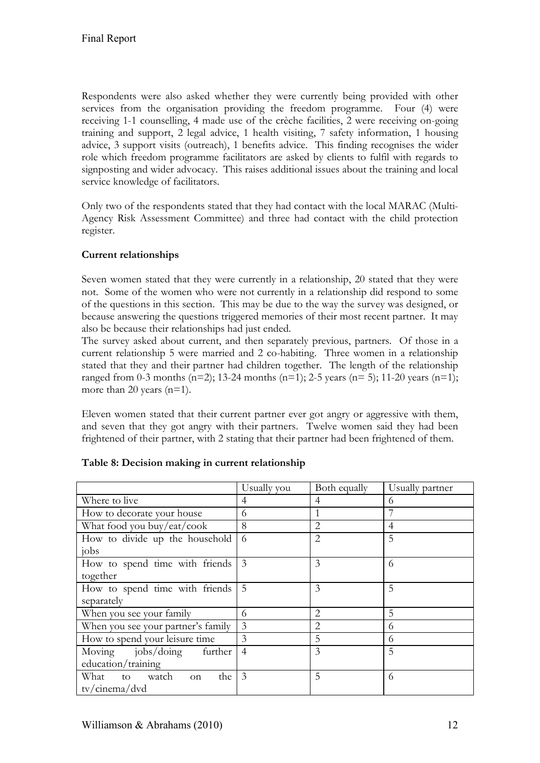Respondents were also asked whether they were currently being provided with other services from the organisation providing the freedom programme. Four (4) were receiving 1-1 counselling, 4 made use of the crèche facilities, 2 were receiving on-going training and support, 2 legal advice, 1 health visiting, 7 safety information, 1 housing advice, 3 support visits (outreach), 1 benefits advice. This finding recognises the wider role which freedom programme facilitators are asked by clients to fulfil with regards to signposting and wider advocacy. This raises additional issues about the training and local service knowledge of facilitators.

Only two of the respondents stated that they had contact with the local MARAC (Multi-Agency Risk Assessment Committee) and three had contact with the child protection register.

# **Current relationships**

Seven women stated that they were currently in a relationship, 20 stated that they were not. Some of the women who were not currently in a relationship did respond to some of the questions in this section. This may be due to the way the survey was designed, or because answering the questions triggered memories of their most recent partner. It may also be because their relationships had just ended.

The survey asked about current, and then separately previous, partners. Of those in a current relationship 5 were married and 2 co-habiting. Three women in a relationship stated that they and their partner had children together. The length of the relationship ranged from 0-3 months (n=2); 13-24 months (n=1); 2-5 years (n= 5); 11-20 years (n=1); more than 20 years (n=1).

Eleven women stated that their current partner ever got angry or aggressive with them, and seven that they got angry with their partners. Twelve women said they had been frightened of their partner, with 2 stating that their partner had been frightened of them.

|                                       | Usually you    | Both equally   | Usually partner |
|---------------------------------------|----------------|----------------|-----------------|
| Where to live                         | 4              | 4              | 6               |
| How to decorate your house            | 6              | 1              |                 |
| What food you buy/eat/cook            | 8              | $\overline{2}$ | 4               |
| How to divide up the household        | 6              | $\overline{2}$ | 5               |
| jobs                                  |                |                |                 |
| How to spend time with friends        | 3              | 3              | 6               |
| together                              |                |                |                 |
| How to spend time with friends        | 5              | 3              | 5               |
| separately                            |                |                |                 |
| When you see your family              | 6              | 2              | 5               |
| When you see your partner's family    | 3              | 2              | 6               |
| How to spend your leisure time        | $\overline{3}$ | 5              | 6               |
| Moving jobs/doing<br>further          | $\overline{4}$ | 3              | 5               |
| education/training                    |                |                |                 |
| What to watch<br>the<br><sub>on</sub> | 3              | 5              | 6               |
| tv/cinema/dvd                         |                |                |                 |

|  | Table 8: Decision making in current relationship |  |
|--|--------------------------------------------------|--|
|  |                                                  |  |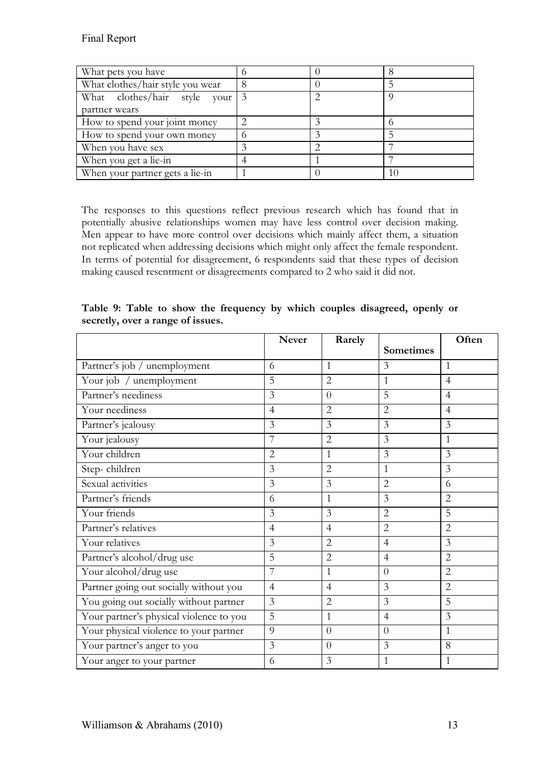| What pets you have               |  |    |
|----------------------------------|--|----|
| What clothes/hair style you wear |  |    |
| What clothes/hair style your     |  |    |
| partner wears                    |  |    |
| How to spend your joint money    |  |    |
| How to spend your own money      |  |    |
| When you have sex                |  |    |
| When you get a lie-in            |  |    |
| When your partner gets a lie-in  |  | 10 |

The responses to this questions reflect previous research which has found that in potentially abusive relationships women may have less control over decision making. Men appear to have more control over decisions which mainly affect them, a situation not replicated when addressing decisions which might only affect the female respondent. In terms of potential for disagreement, 6 respondents said that these types of decision making caused resentment or disagreements compared to 2 who said it did not.

**Table 9: Table to show the frequency by which couples disagreed, openly or secretly, over a range of issues.**

|                                         | <b>Never</b>   | Rarely         |                  | Often          |
|-----------------------------------------|----------------|----------------|------------------|----------------|
|                                         |                |                | <b>Sometimes</b> |                |
| Partner's job / unemployment            | 6              | $\mathbf{1}$   | 3                | $\mathbf{1}$   |
| Your job / unemployment                 | 5              | $\overline{2}$ | 1                | $\overline{4}$ |
| Partner's neediness                     | 3              | $\theta$       | 5                | $\overline{4}$ |
| Your neediness                          | $\overline{4}$ | $\overline{2}$ | $\overline{2}$   | $\overline{4}$ |
| Partner's jealousy                      | 3              | 3              | $\overline{3}$   | $\overline{3}$ |
| Your jealousy                           | 7              | $\overline{2}$ | 3                | $\mathbf{1}$   |
| Your children                           | 2              | $\mathbf{1}$   | 3                | 3              |
| Step-children                           | 3              | $\overline{2}$ | 1                | $\overline{3}$ |
| Sexual activities                       | 3              | 3              | $\overline{2}$   | 6              |
| Partner's friends                       | 6              | $\mathbf{1}$   | 3                | $\overline{2}$ |
| Your friends                            | $\overline{3}$ | 3              | $\overline{2}$   | 5              |
| Partner's relatives                     | $\overline{4}$ | $\overline{4}$ | $\overline{2}$   | $\overline{2}$ |
| Your relatives                          | 3              | $\overline{2}$ | $\overline{4}$   | $\overline{3}$ |
| Partner's alcohol/drug use              | 5              | $\overline{2}$ | $\overline{4}$   | $\overline{2}$ |
| Your alcohol/drug use                   | 7              | 1              | $\Omega$         | $\overline{2}$ |
| Partner going out socially without you  | $\overline{4}$ | $\overline{4}$ | 3                | $\overline{2}$ |
| You going out socially without partner  | $\overline{3}$ | $\overline{2}$ | $\overline{3}$   | 5              |
| Your partner's physical violence to you | 5              | 1              | $\overline{4}$   | 3              |
| Your physical violence to your partner  | 9              | $\overline{0}$ | $\theta$         | $\mathbf{1}$   |
| Your partner's anger to you             | 3              | $\theta$       | $\overline{3}$   | 8              |
| Your anger to your partner              | 6              | 3              | 1                | 1              |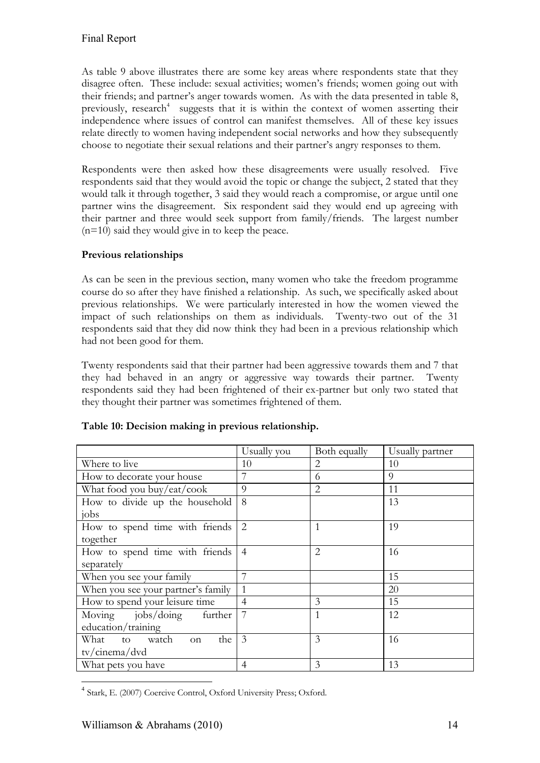As table 9 above illustrates there are some key areas where respondents state that they disagree often. These include: sexual activities; women's friends; women going out with their friends; and partner's anger towards women. As with the data presented in table 8, previously, research<sup>4</sup> suggests that it is within the context of women asserting their independence where issues of control can manifest themselves. All of these key issues relate directly to women having independent social networks and how they subsequently choose to negotiate their sexual relations and their partner's angry responses to them.

Respondents were then asked how these disagreements were usually resolved. Five respondents said that they would avoid the topic or change the subject, 2 stated that they would talk it through together, 3 said they would reach a compromise, or argue until one partner wins the disagreement. Six respondent said they would end up agreeing with their partner and three would seek support from family/friends. The largest number  $(n=10)$  said they would give in to keep the peace.

# **Previous relationships**

As can be seen in the previous section, many women who take the freedom programme course do so after they have finished a relationship. As such, we specifically asked about previous relationships. We were particularly interested in how the women viewed the impact of such relationships on them as individuals. Twenty-two out of the 31 respondents said that they did now think they had been in a previous relationship which had not been good for them.

Twenty respondents said that their partner had been aggressive towards them and 7 that they had behaved in an angry or aggressive way towards their partner. Twenty respondents said they had been frightened of their ex-partner but only two stated that they thought their partner was sometimes frightened of them.

|                                            | Usually you    | Both equally   | Usually partner |
|--------------------------------------------|----------------|----------------|-----------------|
| Where to live                              | 10             | $\overline{2}$ | 10              |
| How to decorate your house                 | 7              | 6              | $\Omega$        |
| What food you buy/eat/cook                 | $\Omega$       | $\overline{2}$ | 11              |
| How to divide up the household             | 8              |                | 13              |
| jobs                                       |                |                |                 |
| How to spend time with friends             | $\overline{2}$ | $\mathbf{1}$   | 19              |
| together                                   |                |                |                 |
| How to spend time with friends             | $\overline{4}$ | $\overline{2}$ | 16              |
| separately                                 |                |                |                 |
| When you see your family                   |                |                | 15              |
| When you see your partner's family         | $\mathbf{1}$   |                | 20              |
| How to spend your leisure time             | $\overline{4}$ | 3              | 15              |
| Moving $i_{\rm obs}/\rm{doing}$<br>further | 7              | $\mathbf{1}$   | 12              |
| education/training                         |                |                |                 |
| What to watch<br>the<br><sub>on</sub>      | $\overline{3}$ | 3              | 16              |
| tv/cinema/dvd                              |                |                |                 |
| What pets you have                         | $\overline{4}$ | 3              | 13              |

# **Table 10: Decision making in previous relationship.**

<sup>&</sup>lt;u>.</u> <sup>4</sup> Stark, E. (2007) Coercive Control, Oxford University Press; Oxford.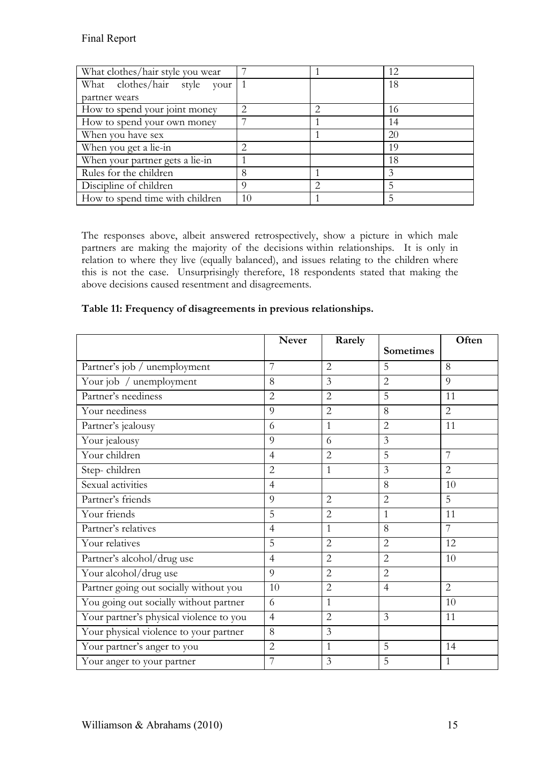| What clothes/hair style you wear |    | 12 |
|----------------------------------|----|----|
| What clothes/hair style your     |    | 18 |
| partner wears                    |    |    |
| How to spend your joint money    |    | 16 |
| How to spend your own money      |    | 14 |
| When you have sex                |    | 20 |
| When you get a lie-in            |    | 19 |
| When your partner gets a lie-in  |    | 18 |
| Rules for the children           | 8  | 3  |
| Discipline of children           | Q  |    |
| How to spend time with children  | 10 |    |

The responses above, albeit answered retrospectively, show a picture in which male partners are making the majority of the decisions within relationships. It is only in relation to where they live (equally balanced), and issues relating to the children where this is not the case. Unsurprisingly therefore, 18 respondents stated that making the above decisions caused resentment and disagreements.

|  |  | Table 11: Frequency of disagreements in previous relationships. |
|--|--|-----------------------------------------------------------------|
|  |  |                                                                 |

|                                         | <b>Never</b>   | Rarely         | <b>Sometimes</b> | Often          |
|-----------------------------------------|----------------|----------------|------------------|----------------|
|                                         |                |                |                  |                |
| Partner's job / unemployment            | 7              | $\overline{2}$ | 5                | 8              |
| Your job / unemployment                 | 8              | 3              | $\overline{2}$   | 9              |
| Partner's neediness                     | $\overline{2}$ | $\overline{2}$ | 5                | 11             |
| Your neediness                          | 9              | $\overline{2}$ | 8                | $\overline{2}$ |
| Partner's jealousy                      | 6              | $\mathbf{1}$   | $\overline{2}$   | 11             |
| Your jealousy                           | 9              | 6              | $\overline{3}$   |                |
| Your children                           | $\overline{4}$ | $\overline{2}$ | 5                | $\overline{7}$ |
| Step-children                           | $\overline{2}$ | $\mathbf{1}$   | 3                | $\overline{2}$ |
| Sexual activities                       | $\overline{4}$ |                | 8                | 10             |
| Partner's friends                       | $\overline{Q}$ | $\overline{2}$ | $\overline{2}$   | 5              |
| Your friends                            | 5              | $\overline{2}$ | 1                | 11             |
| Partner's relatives                     | $\overline{4}$ | $\mathbf{1}$   | 8                | 7              |
| Your relatives                          | 5              | $\overline{2}$ | $\overline{2}$   | 12             |
| Partner's alcohol/drug use              | $\overline{4}$ | $\overline{2}$ | $\overline{2}$   | 10             |
| Your alcohol/drug use                   | 9              | $\overline{2}$ | $\overline{2}$   |                |
| Partner going out socially without you  | 10             | $\overline{2}$ | $\overline{4}$   | 2              |
| You going out socially without partner  | 6              | 1              |                  | 10             |
| Your partner's physical violence to you | $\overline{4}$ | $\overline{2}$ | $\overline{3}$   | 11             |
| Your physical violence to your partner  | 8              | 3              |                  |                |
| Your partner's anger to you             | $\overline{2}$ | 1              | 5                | 14             |
| Your anger to your partner              | 7              | 3              | 5                | $\mathbf{1}$   |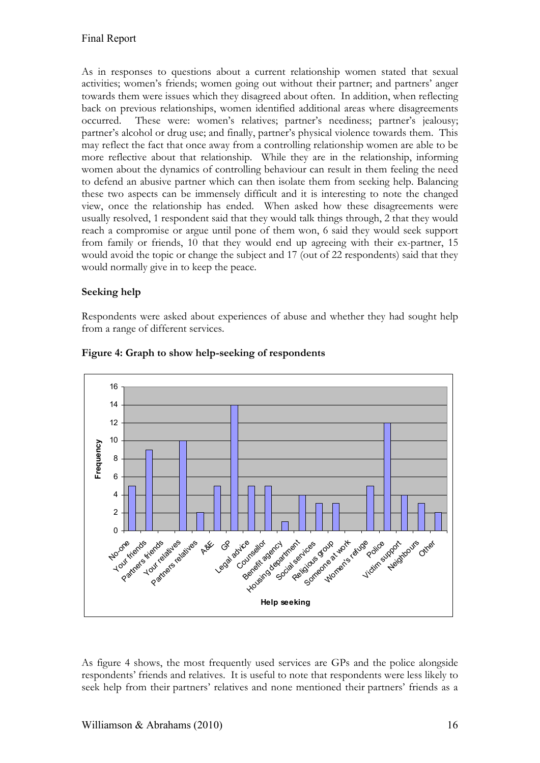As in responses to questions about a current relationship women stated that sexual activities; women's friends; women going out without their partner; and partners' anger towards them were issues which they disagreed about often. In addition, when reflecting back on previous relationships, women identified additional areas where disagreements occurred. These were: women's relatives; partner's neediness; partner's jealousy; partner's alcohol or drug use; and finally, partner's physical violence towards them. This may reflect the fact that once away from a controlling relationship women are able to be more reflective about that relationship. While they are in the relationship, informing women about the dynamics of controlling behaviour can result in them feeling the need to defend an abusive partner which can then isolate them from seeking help. Balancing these two aspects can be immensely difficult and it is interesting to note the changed view, once the relationship has ended. When asked how these disagreements were usually resolved, 1 respondent said that they would talk things through, 2 that they would reach a compromise or argue until pone of them won, 6 said they would seek support from family or friends, 10 that they would end up agreeing with their ex-partner, 15 would avoid the topic or change the subject and 17 (out of 22 respondents) said that they would normally give in to keep the peace.

### **Seeking help**

Respondents were asked about experiences of abuse and whether they had sought help from a range of different services.



#### **Figure 4: Graph to show help-seeking of respondents**

As figure 4 shows, the most frequently used services are GPs and the police alongside respondents' friends and relatives. It is useful to note that respondents were less likely to seek help from their partners' relatives and none mentioned their partners' friends as a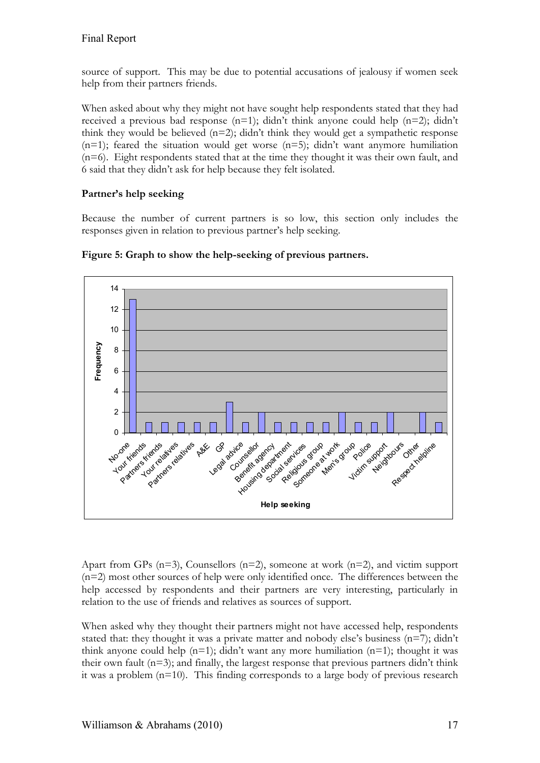source of support. This may be due to potential accusations of jealousy if women seek help from their partners friends.

When asked about why they might not have sought help respondents stated that they had received a previous bad response  $(n=1)$ ; didn't think anyone could help  $(n=2)$ ; didn't think they would be believed  $(n=2)$ ; didn't think they would get a sympathetic response  $(n=1)$ ; feared the situation would get worse  $(n=5)$ ; didn't want anymore humiliation (n=6). Eight respondents stated that at the time they thought it was their own fault, and 6 said that they didn't ask for help because they felt isolated.

# **Partner's help seeking**

Because the number of current partners is so low, this section only includes the responses given in relation to previous partner's help seeking.



**Figure 5: Graph to show the help-seeking of previous partners.**

Apart from GPs (n=3), Counsellors (n=2), someone at work (n=2), and victim support (n=2) most other sources of help were only identified once. The differences between the help accessed by respondents and their partners are very interesting, particularly in relation to the use of friends and relatives as sources of support.

When asked why they thought their partners might not have accessed help, respondents stated that: they thought it was a private matter and nobody else's business  $(n=7)$ ; didn't think anyone could help  $(n=1)$ ; didn't want any more humiliation  $(n=1)$ ; thought it was their own fault (n=3); and finally, the largest response that previous partners didn't think it was a problem  $(n=10)$ . This finding corresponds to a large body of previous research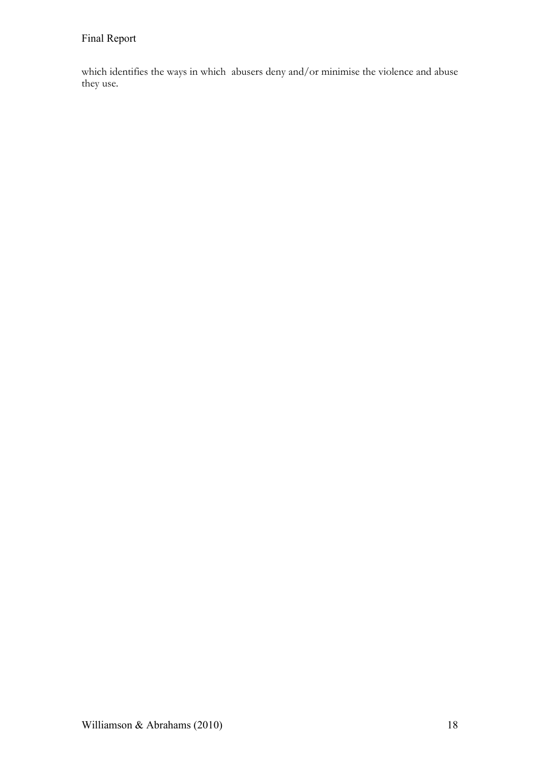which identifies the ways in which abusers deny and/or minimise the violence and abuse they use.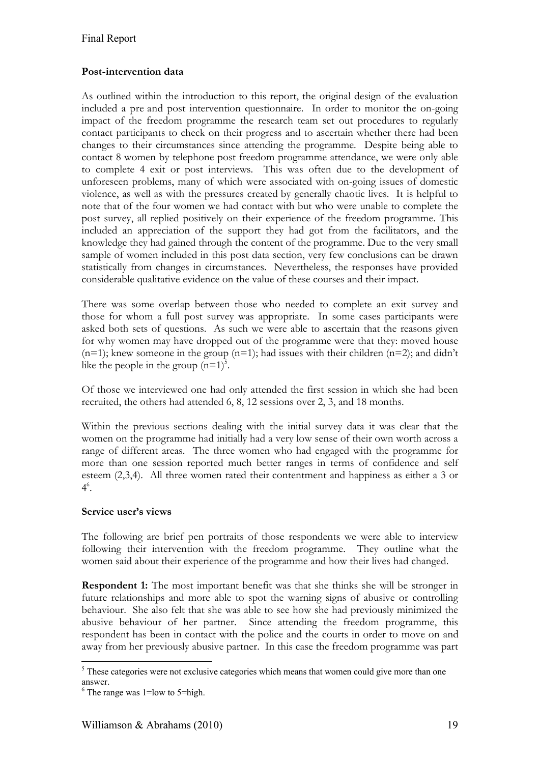### **Post-intervention data**

As outlined within the introduction to this report, the original design of the evaluation included a pre and post intervention questionnaire. In order to monitor the on-going impact of the freedom programme the research team set out procedures to regularly contact participants to check on their progress and to ascertain whether there had been changes to their circumstances since attending the programme. Despite being able to contact 8 women by telephone post freedom programme attendance, we were only able to complete 4 exit or post interviews. This was often due to the development of unforeseen problems, many of which were associated with on-going issues of domestic violence, as well as with the pressures created by generally chaotic lives. It is helpful to note that of the four women we had contact with but who were unable to complete the post survey, all replied positively on their experience of the freedom programme. This included an appreciation of the support they had got from the facilitators, and the knowledge they had gained through the content of the programme. Due to the very small sample of women included in this post data section, very few conclusions can be drawn statistically from changes in circumstances. Nevertheless, the responses have provided considerable qualitative evidence on the value of these courses and their impact.

There was some overlap between those who needed to complete an exit survey and those for whom a full post survey was appropriate. In some cases participants were asked both sets of questions. As such we were able to ascertain that the reasons given for why women may have dropped out of the programme were that they: moved house  $(n=1)$ ; knew someone in the group  $(n=1)$ ; had issues with their children  $(n=2)$ ; and didn't like the people in the group  $(n=1)^5$ .

Of those we interviewed one had only attended the first session in which she had been recruited, the others had attended 6, 8, 12 sessions over 2, 3, and 18 months.

Within the previous sections dealing with the initial survey data it was clear that the women on the programme had initially had a very low sense of their own worth across a range of different areas. The three women who had engaged with the programme for more than one session reported much better ranges in terms of confidence and self esteem (2,3,4). All three women rated their contentment and happiness as either a 3 or  $4^6$ .

#### **Service user's views**

The following are brief pen portraits of those respondents we were able to interview following their intervention with the freedom programme. They outline what the women said about their experience of the programme and how their lives had changed.

**Respondent 1:** The most important benefit was that she thinks she will be stronger in future relationships and more able to spot the warning signs of abusive or controlling behaviour. She also felt that she was able to see how she had previously minimized the abusive behaviour of her partner. Since attending the freedom programme, this respondent has been in contact with the police and the courts in order to move on and away from her previously abusive partner. In this case the freedom programme was part

<sup>&</sup>lt;sup>5</sup>These categories were not exclusive categories which means that women could give more than one answer.

 $6$  The range was 1=low to 5=high.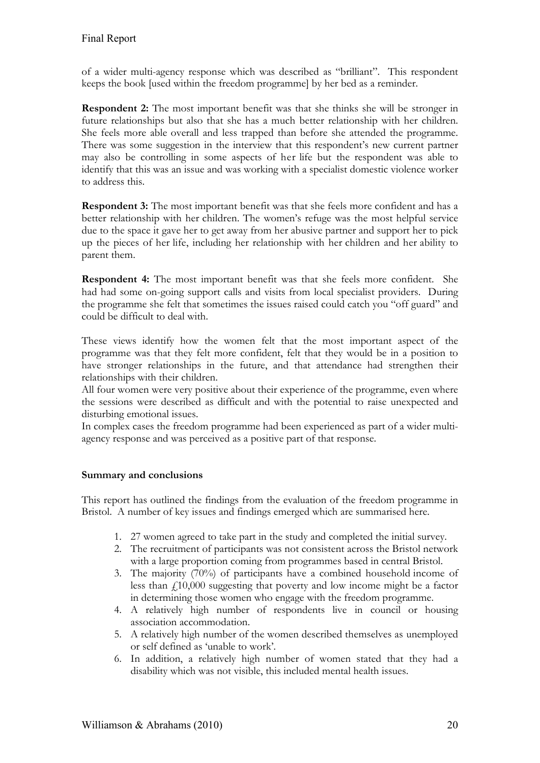of a wider multi-agency response which was described as "brilliant". This respondent keeps the book [used within the freedom programme] by her bed as a reminder.

**Respondent 2:** The most important benefit was that she thinks she will be stronger in future relationships but also that she has a much better relationship with her children. She feels more able overall and less trapped than before she attended the programme. There was some suggestion in the interview that this respondent's new current partner may also be controlling in some aspects of her life but the respondent was able to identify that this was an issue and was working with a specialist domestic violence worker to address this.

**Respondent 3:** The most important benefit was that she feels more confident and has a better relationship with her children. The women's refuge was the most helpful service due to the space it gave her to get away from her abusive partner and support her to pick up the pieces of her life, including her relationship with her children and her ability to parent them.

**Respondent 4:** The most important benefit was that she feels more confident. She had had some on-going support calls and visits from local specialist providers. During the programme she felt that sometimes the issues raised could catch you "off guard" and could be difficult to deal with.

These views identify how the women felt that the most important aspect of the programme was that they felt more confident, felt that they would be in a position to have stronger relationships in the future, and that attendance had strengthen their relationships with their children.

All four women were very positive about their experience of the programme, even where the sessions were described as difficult and with the potential to raise unexpected and disturbing emotional issues.

In complex cases the freedom programme had been experienced as part of a wider multiagency response and was perceived as a positive part of that response.

# **Summary and conclusions**

This report has outlined the findings from the evaluation of the freedom programme in Bristol. A number of key issues and findings emerged which are summarised here.

- 1. 27 women agreed to take part in the study and completed the initial survey.
- 2. The recruitment of participants was not consistent across the Bristol network with a large proportion coming from programmes based in central Bristol.
- 3. The majority (70%) of participants have a combined household income of less than £10,000 suggesting that poverty and low income might be a factor in determining those women who engage with the freedom programme.
- 4. A relatively high number of respondents live in council or housing association accommodation.
- 5. A relatively high number of the women described themselves as unemployed or self defined as 'unable to work'.
- 6. In addition, a relatively high number of women stated that they had a disability which was not visible, this included mental health issues.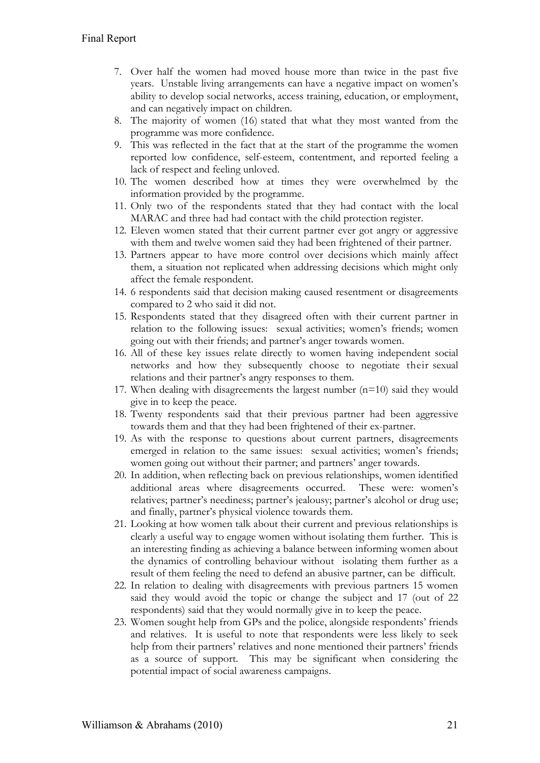- 7. Over half the women had moved house more than twice in the past five years. Unstable living arrangements can have a negative impact on women's ability to develop social networks, access training, education, or employment, and can negatively impact on children.
- 8. The majority of women (16) stated that what they most wanted from the programme was more confidence.
- 9. This was reflected in the fact that at the start of the programme the women reported low confidence, self-esteem, contentment, and reported feeling a lack of respect and feeling unloved.
- 10. The women described how at times they were overwhelmed by the information provided by the programme.
- 11. Only two of the respondents stated that they had contact with the local MARAC and three had had contact with the child protection register.
- 12. Eleven women stated that their current partner ever got angry or aggressive with them and twelve women said they had been frightened of their partner.
- 13. Partners appear to have more control over decisions which mainly affect them, a situation not replicated when addressing decisions which might only affect the female respondent.
- 14. 6 respondents said that decision making caused resentment or disagreements compared to 2 who said it did not.
- 15. Respondents stated that they disagreed often with their current partner in relation to the following issues: sexual activities; women's friends; women going out with their friends; and partner's anger towards women.
- 16. All of these key issues relate directly to women having independent social networks and how they subsequently choose to negotiate their sexual relations and their partner's angry responses to them.
- 17. When dealing with disagreements the largest number  $(n=10)$  said they would give in to keep the peace.
- 18. Twenty respondents said that their previous partner had been aggressive towards them and that they had been frightened of their ex-partner.
- 19. As with the response to questions about current partners, disagreements emerged in relation to the same issues: sexual activities; women's friends; women going out without their partner; and partners' anger towards.
- 20. In addition, when reflecting back on previous relationships, women identified additional areas where disagreements occurred. These were: women's relatives; partner's neediness; partner's jealousy; partner's alcohol or drug use; and finally, partner's physical violence towards them.
- 21. Looking at how women talk about their current and previous relationships is clearly a useful way to engage women without isolating them further. This is an interesting finding as achieving a balance between informing women about the dynamics of controlling behaviour without isolating them further as a result of them feeling the need to defend an abusive partner, can be difficult.
- 22. In relation to dealing with disagreements with previous partners 15 women said they would avoid the topic or change the subject and 17 (out of 22 respondents) said that they would normally give in to keep the peace.
- 23. Women sought help from GPs and the police, alongside respondents' friends and relatives. It is useful to note that respondents were less likely to seek help from their partners' relatives and none mentioned their partners' friends as a source of support. This may be significant when considering the potential impact of social awareness campaigns.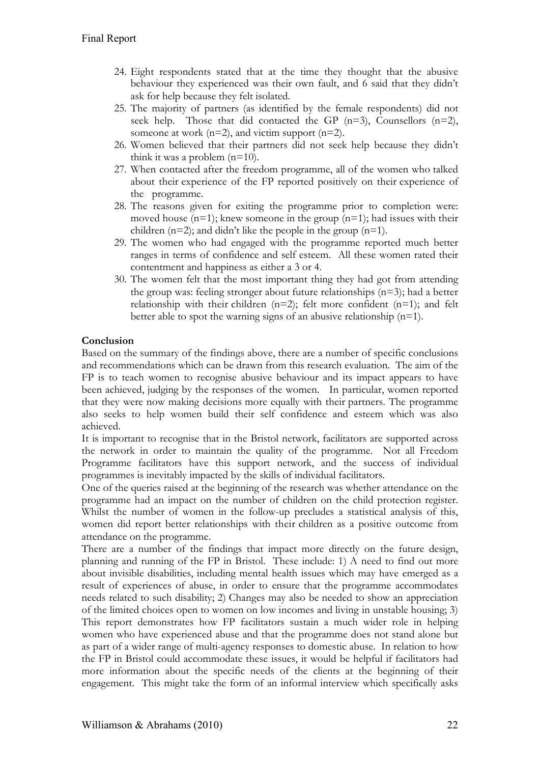- 24. Eight respondents stated that at the time they thought that the abusive behaviour they experienced was their own fault, and 6 said that they didn't ask for help because they felt isolated.
- 25. The majority of partners (as identified by the female respondents) did not seek help. Those that did contacted the GP  $(n=3)$ , Counsellors  $(n=2)$ , someone at work  $(n=2)$ , and victim support  $(n=2)$ .
- 26. Women believed that their partners did not seek help because they didn't think it was a problem  $(n=10)$ .
- 27. When contacted after the freedom programme, all of the women who talked about their experience of the FP reported positively on their experience of the programme.
- 28. The reasons given for exiting the programme prior to completion were: moved house  $(n=1)$ ; knew someone in the group  $(n=1)$ ; had issues with their children  $(n=2)$ ; and didn't like the people in the group  $(n=1)$ .
- 29. The women who had engaged with the programme reported much better ranges in terms of confidence and self esteem. All these women rated their contentment and happiness as either a 3 or 4.
- 30. The women felt that the most important thing they had got from attending the group was: feeling stronger about future relationships (n=3); had a better relationship with their children  $(n=2)$ ; felt more confident  $(n=1)$ ; and felt better able to spot the warning signs of an abusive relationship  $(n=1)$ .

### **Conclusion**

Based on the summary of the findings above, there are a number of specific conclusions and recommendations which can be drawn from this research evaluation. The aim of the FP is to teach women to recognise abusive behaviour and its impact appears to have been achieved, judging by the responses of the women. In particular, women reported that they were now making decisions more equally with their partners. The programme also seeks to help women build their self confidence and esteem which was also achieved.

It is important to recognise that in the Bristol network, facilitators are supported across the network in order to maintain the quality of the programme. Not all Freedom Programme facilitators have this support network, and the success of individual programmes is inevitably impacted by the skills of individual facilitators.

One of the queries raised at the beginning of the research was whether attendance on the programme had an impact on the number of children on the child protection register. Whilst the number of women in the follow-up precludes a statistical analysis of this, women did report better relationships with their children as a positive outcome from attendance on the programme.

There are a number of the findings that impact more directly on the future design, planning and running of the FP in Bristol. These include: 1) A need to find out more about invisible disabilities, including mental health issues which may have emerged as a result of experiences of abuse, in order to ensure that the programme accommodates needs related to such disability; 2) Changes may also be needed to show an appreciation of the limited choices open to women on low incomes and living in unstable housing; 3) This report demonstrates how FP facilitators sustain a much wider role in helping women who have experienced abuse and that the programme does not stand alone but as part of a wider range of multi-agency responses to domestic abuse. In relation to how the FP in Bristol could accommodate these issues, it would be helpful if facilitators had more information about the specific needs of the clients at the beginning of their engagement. This might take the form of an informal interview which specifically asks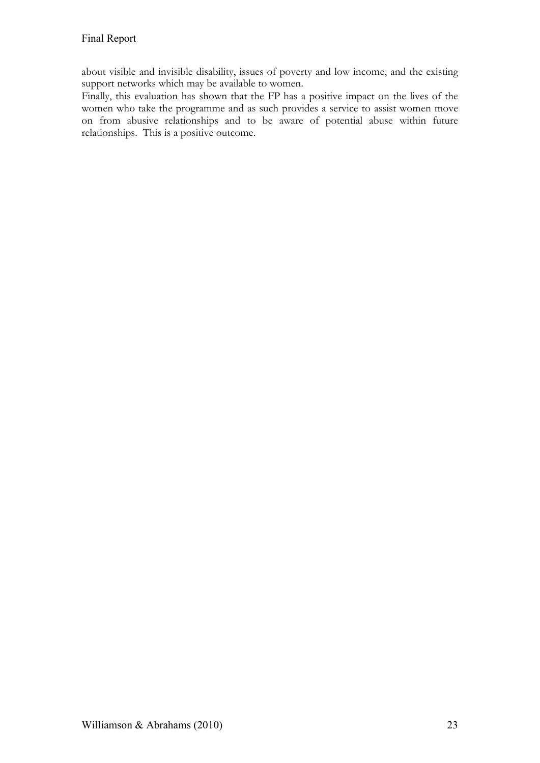about visible and invisible disability, issues of poverty and low income, and the existing support networks which may be available to women.

Finally, this evaluation has shown that the FP has a positive impact on the lives of the women who take the programme and as such provides a service to assist women move on from abusive relationships and to be aware of potential abuse within future relationships. This is a positive outcome.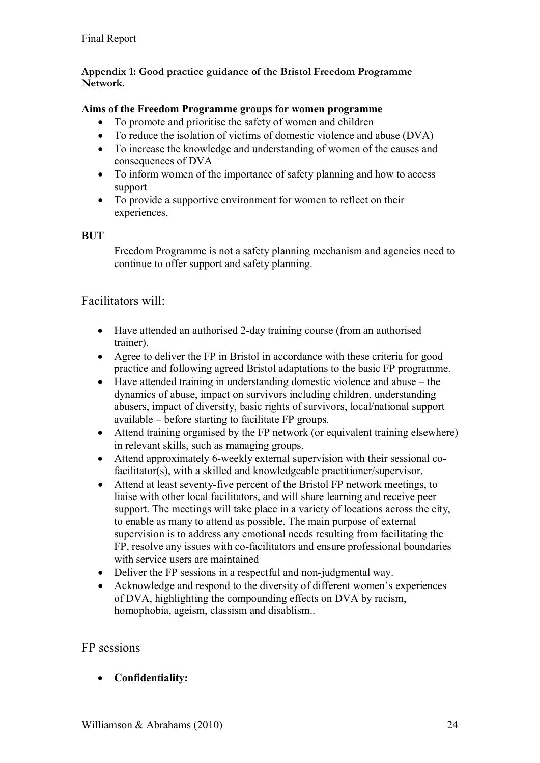# **Appendix 1: Good practice guidance of the Bristol Freedom Programme Network.**

# **Aims of the Freedom Programme groups for women programme**

- To promote and prioritise the safety of women and children
- To reduce the isolation of victims of domestic violence and abuse (DVA)
- To increase the knowledge and understanding of women of the causes and consequences of DVA
- To inform women of the importance of safety planning and how to access support
- To provide a supportive environment for women to reflect on their experiences,

# **BUT**

Freedom Programme is not a safety planning mechanism and agencies need to continue to offer support and safety planning.

# Facilitators will:

- Have attended an authorised 2-day training course (from an authorised trainer).
- Agree to deliver the FP in Bristol in accordance with these criteria for good practice and following agreed Bristol adaptations to the basic FP programme.
- Have attended training in understanding domestic violence and abuse the dynamics of abuse, impact on survivors including children, understanding abusers, impact of diversity, basic rights of survivors, local/national support available – before starting to facilitate FP groups.
- Attend training organised by the FP network (or equivalent training elsewhere) in relevant skills, such as managing groups.
- Attend approximately 6-weekly external supervision with their sessional cofacilitator(s), with a skilled and knowledgeable practitioner/supervisor.
- Attend at least seventy-five percent of the Bristol FP network meetings, to liaise with other local facilitators, and will share learning and receive peer support. The meetings will take place in a variety of locations across the city, to enable as many to attend as possible. The main purpose of external supervision is to address any emotional needs resulting from facilitating the FP, resolve any issues with co-facilitators and ensure professional boundaries with service users are maintained
- Deliver the FP sessions in a respectful and non-judgmental way.
- Acknowledge and respond to the diversity of different women's experiences of DVA, highlighting the compounding effects on DVA by racism, homophobia, ageism, classism and disablism..

# FP sessions

**Confidentiality:**